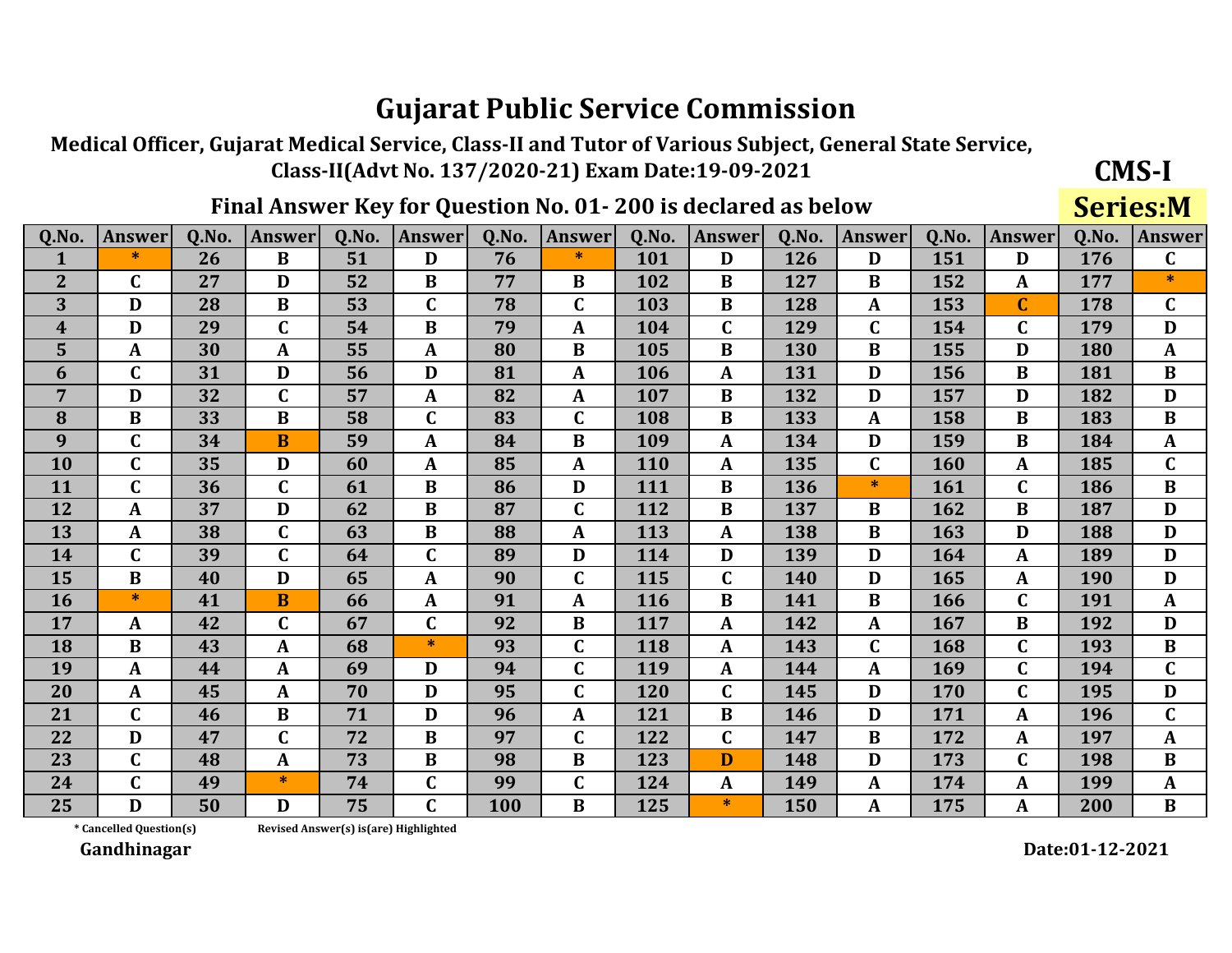Medical Officer, Gujarat Medical Service, Class-II and Tutor of Various Subject, General State Service, Class-II(Advt No. 137/2020-21) Exam Date:19-09-2021

### Final Answer Key for Question No. 01-200 is declared as below

**Series:M** 

**CMS-I** 

| Q.No.            | <b>Answer</b> | 0.No. | <b>Answer</b> | 0.No. | Answer      | 0.No. | <b>Answer</b> | Q.No.      | <b>Answer</b> | 0.No.      | <b>Answer</b> | 0.No. | Answer       | 0.No. | <b>Answer</b>  |
|------------------|---------------|-------|---------------|-------|-------------|-------|---------------|------------|---------------|------------|---------------|-------|--------------|-------|----------------|
| $\mathbf{1}$     | $\ast$        | 26    | $\bf{B}$      | 51    | D           | 76    | $\ast$        | 101        | D             | 126        | D             | 151   | D            | 176   | $\mathbf{C}$   |
| $\overline{2}$   | $\mathbf C$   | 27    | D             | 52    | B           | 77    | B             | 102        | B             | 127        | B             | 152   | $\mathbf{A}$ | 177   | $\ast$         |
| 3                | D             | 28    | B             | 53    | $\mathbf C$ | 78    | $\mathbf C$   | 103        | B             | 128        | A             | 153   | $\mathbf C$  | 178   | $\mathbf C$    |
| $\boldsymbol{4}$ | D             | 29    | $\mathbf C$   | 54    | B           | 79    | A             | 104        | C             | 129        | $\mathbf C$   | 154   | $\mathbf C$  | 179   | D              |
| 5                | A             | 30    | $\mathbf A$   | 55    | A           | 80    | B             | 105        | B             | 130        | B             | 155   | D            | 180   | $\mathbf{A}$   |
| 6                | $\mathbf C$   | 31    | D             | 56    | D           | 81    | A             | 106        | $\mathbf{A}$  | 131        | D             | 156   | $\bf{B}$     | 181   | $\bf{B}$       |
| 7                | D             | 32    | $\mathbf C$   | 57    | A           | 82    | $\mathbf{A}$  | 107        | $\bf{B}$      | 132        | D             | 157   | D            | 182   | D              |
| 8                | $\bf{B}$      | 33    | $\bf{B}$      | 58    | $\mathbf C$ | 83    | $\mathbf C$   | 108        | $\bf{B}$      | 133        | A             | 158   | B            | 183   | $\bf{B}$       |
| 9                | C             | 34    | B             | 59    | A           | 84    | B             | 109        | A             | 134        | D             | 159   | B            | 184   | $\mathbf{A}$   |
| 10               | C             | 35    | D             | 60    | A           | 85    | A             | 110        | A             | 135        | $\mathbf C$   | 160   | $\mathbf{A}$ | 185   | $\mathbf C$    |
| 11               | $\mathbf C$   | 36    | $\mathbf C$   | 61    | B           | 86    | D             | 111        | B             | 136        | *.            | 161   | $\mathsf{C}$ | 186   | $\bf{B}$       |
| 12               | A             | 37    | D             | 62    | B           | 87    | $\mathbf C$   | 112        | B             | 137        | B             | 162   | $\bf{B}$     | 187   | D              |
| 13               | A             | 38    | $\mathbf C$   | 63    | $\bf{B}$    | 88    | A             | 113        | $\mathbf{A}$  | 138        | B             | 163   | D            | 188   | D              |
| 14               | $\mathbf{C}$  | 39    | $\mathbf C$   | 64    | $\mathbf C$ | 89    | D             | 114        | D             | 139        | D             | 164   | $\mathbf{A}$ | 189   | D              |
| 15               | B             | 40    | D             | 65    | A           | 90    | $\mathbf C$   | 115        | $\mathbf C$   | 140        | D             | 165   | A            | 190   | D              |
| <b>16</b>        | $\ast$        | 41    | B             | 66    | A           | 91    | A             | <b>116</b> | B             | 141        | B             | 166   | $\mathbf C$  | 191   | $\mathbf{A}$   |
| 17               | A             | 42    | $\mathbf C$   | 67    | $\mathbf C$ | 92    | $\bf{B}$      | 117        | $\mathbf{A}$  | 142        | A             | 167   | B            | 192   | D              |
| 18               | $\bf{B}$      | 43    | $\mathbf{A}$  | 68    | $\ast$      | 93    | $\mathbf C$   | 118        | $\mathbf{A}$  | 143        | $\mathbf C$   | 168   | $\mathbf C$  | 193   | $\bf{B}$       |
| 19               | A             | 44    | $\mathbf A$   | 69    | D           | 94    | $\mathbf C$   | 119        | $\mathbf{A}$  | 144        | A             | 169   | $\mathbf C$  | 194   | $\overline{C}$ |
| 20               | A             | 45    | $\mathbf{A}$  | 70    | D           | 95    | $\mathsf{C}$  | 120        | $\mathbf{C}$  | 145        | D             | 170   | $\mathbf C$  | 195   | D              |
| 21               | $\mathbf C$   | 46    | B             | 71    | D           | 96    | A             | 121        | B             | 146        | D             | 171   | $\mathbf{A}$ | 196   | $\mathbf{C}$   |
| 22               | D             | 47    | $\mathbf C$   | 72    | $\bf{B}$    | 97    | $\mathsf{C}$  | 122        | $\mathbf C$   | 147        | $\bf{B}$      | 172   | $\mathbf{A}$ | 197   | $\mathbf{A}$   |
| 23               | C             | 48    | $\mathbf{A}$  | 73    | $\bf{B}$    | 98    | B             | 123        | D             | 148        | D             | 173   | C            | 198   | $\bf{B}$       |
| 24               | $\mathbf C$   | 49    | $\ast$        | 74    | $\mathbf C$ | 99    | $\mathbf C$   | 124        | A             | 149        | A             | 174   | A            | 199   | $\mathbf{A}$   |
| 25               | D             | 50    | D             | 75    | $\mathbf C$ | 100   | B             | 125        | $\ast$        | <b>150</b> | A             | 175   | A            | 200   | $\bf{B}$       |

\* Cancelled Question(s)

Revised Answer(s) is(are) Highlighted

Gandhinagar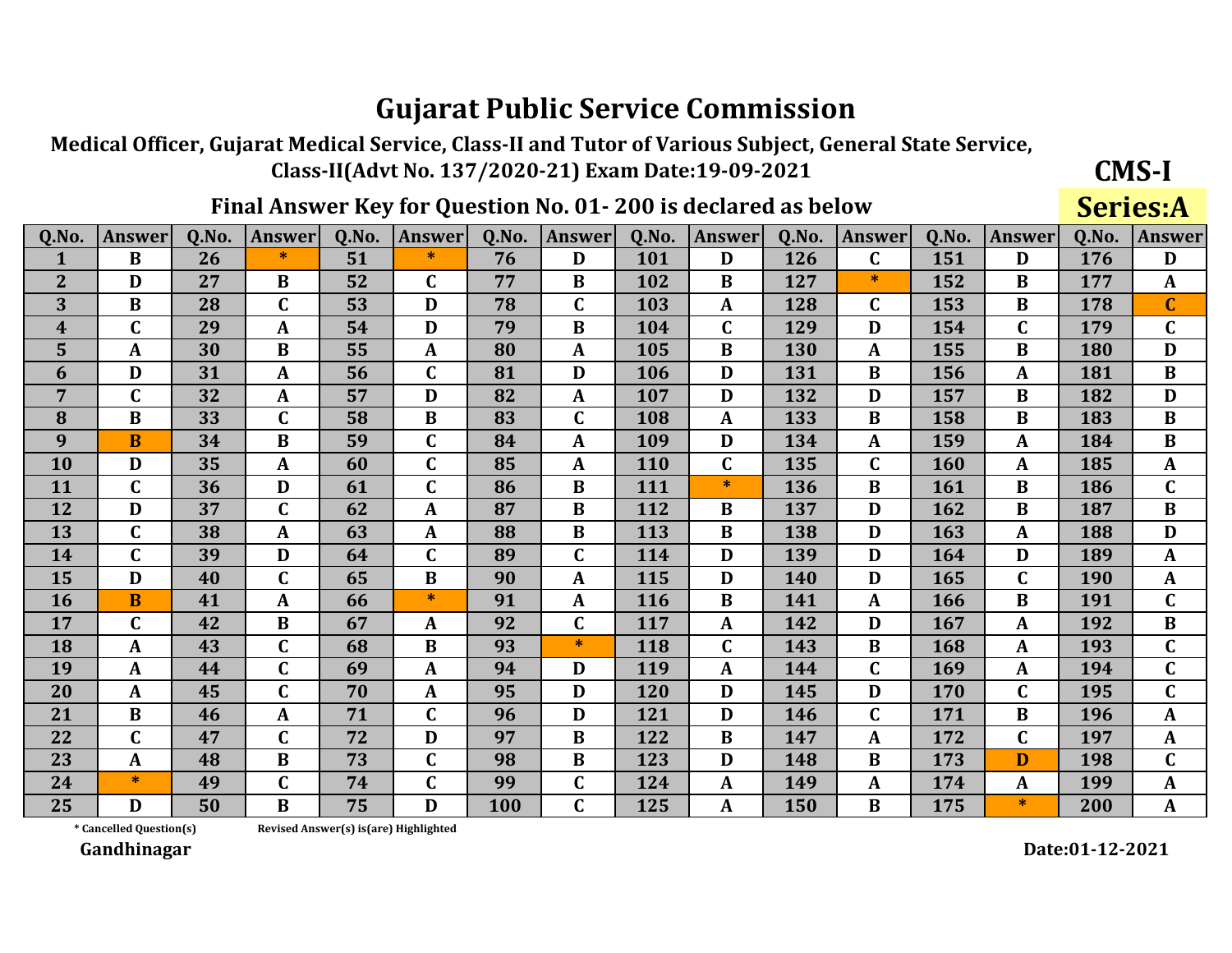Medical Officer, Gujarat Medical Service, Class-II and Tutor of Various Subject, General State Service, Class-II(Advt No. 137/2020-21) Exam Date:19-09-2021

### Final Answer Key for Question No. 01-200 is declared as below

**Series:A** 

**CMS-I** 

| Q.No.          | <b>Answer</b> | 0.No. | <b>Answer</b> | 0.No. | <b>Answer</b> | 0.No. | <b>Answer</b> | Q.No. | <b>Answer</b> | 0.No. | <b>Answer</b> | 0.No. | <b>Answer</b> | 0.No. | <b>Answer</b> |
|----------------|---------------|-------|---------------|-------|---------------|-------|---------------|-------|---------------|-------|---------------|-------|---------------|-------|---------------|
| 1              | $\bf{B}$      | 26    | $\ast$        | 51    | $\ast$        | 76    | D             | 101   | D             | 126   | $\mathbf C$   | 151   | D             | 176   | D             |
| $\overline{2}$ | D             | 27    | B             | 52    | C             | 77    | B             | 102   | B             | 127   | $\ast$        | 152   | B             | 177   | $\mathbf{A}$  |
| 3              | B             | 28    | $\mathbf C$   | 53    | D             | 78    | $\mathbf C$   | 103   | $\mathbf{A}$  | 128   | C             | 153   | B             | 178   | $\mathbf C$   |
| 4              | $\mathbf C$   | 29    | A             | 54    | D             | 79    | $\bf{B}$      | 104   | $\mathbf C$   | 129   | D             | 154   | $\mathbf C$   | 179   | $\mathbf C$   |
| 5              | A             | 30    | $\bf{B}$      | 55    | A             | 80    | A             | 105   | B             | 130   | A             | 155   | $\bf{B}$      | 180   | D             |
| 6              | D             | 31    | $\mathbf A$   | 56    | C             | 81    | D             | 106   | D             | 131   | B             | 156   | A             | 181   | $\bf{B}$      |
| $\overline{7}$ | $\mathbf C$   | 32    | A             | 57    | D             | 82    | A             | 107   | D             | 132   | D             | 157   | $\bf{B}$      | 182   | D             |
| 8              | B             | 33    | $\mathbf C$   | 58    | $\bf{B}$      | 83    | $\mathbf C$   | 108   | $\mathbf{A}$  | 133   | B             | 158   | B             | 183   | $\bf{B}$      |
| 9              | $\bf{B}$      | 34    | B             | 59    | C             | 84    | A             | 109   | D             | 134   | A             | 159   | A             | 184   | $\bf{B}$      |
| 10             | D             | 35    | A             | 60    | $\mathbf C$   | 85    | A             | 110   | $\mathbf C$   | 135   | $\mathbf C$   | 160   | A             | 185   | $\mathbf{A}$  |
| 11             | $\mathbf C$   | 36    | D             | 61    | C             | 86    | B             | 111   | ∗             | 136   | B             | 161   | B             | 186   | $\mathbf C$   |
| 12             | D             | 37    | $\mathbf C$   | 62    | A             | 87    | $\bf{B}$      | 112   | $\bf{B}$      | 137   | D             | 162   | B             | 187   | $\bf{B}$      |
| 13             | $\mathbf C$   | 38    | A             | 63    | A             | 88    | $\bf{B}$      | 113   | B             | 138   | D             | 163   | A             | 188   | D             |
| 14             | $\mathbf C$   | 39    | D             | 64    | $\mathbf C$   | 89    | $\mathbf C$   | 114   | D             | 139   | D             | 164   | D             | 189   | $\mathbf{A}$  |
| 15             | D             | 40    | $\mathbf C$   | 65    | B             | 90    | A             | 115   | D             | 140   | D             | 165   | $\mathbf C$   | 190   | A             |
| <b>16</b>      | B             | 41    | A             | 66    | $*$           | 91    | A             | 116   | B             | 141   | A             | 166   | B             | 191   | $\mathbf C$   |
| 17             | C             | 42    | B             | 67    | $\mathbf{A}$  | 92    | $\mathbf C$   | 117   | $\mathbf{A}$  | 142   | D             | 167   | A             | 192   | $\bf{B}$      |
| 18             | A             | 43    | $\mathbf C$   | 68    | B             | 93    | $\ast$        | 118   | $\mathbf C$   | 143   | B             | 168   | A             | 193   | $\mathbf C$   |
| 19             | $\mathbf{A}$  | 44    | $\mathbf C$   | 69    | A             | 94    | D             | 119   | $\mathbf{A}$  | 144   | $\mathbf{C}$  | 169   | A             | 194   | $\mathbf C$   |
| 20             | A             | 45    | $\mathbf C$   | 70    | A             | 95    | D             | 120   | D             | 145   | D             | 170   | $\mathbf C$   | 195   | $\mathbf{C}$  |
| 21             | B             | 46    | A             | 71    | $\mathbf{C}$  | 96    | D             | 121   | D             | 146   | C             | 171   | B             | 196   | $\mathbf{A}$  |
| 22             | $\mathbf C$   | 47    | $\mathbf C$   | 72    | D             | 97    | $\bf{B}$      | 122   | $\bf{B}$      | 147   | A             | 172   | $\mathbf C$   | 197   | $\mathbf{A}$  |
| 23             | A             | 48    | B             | 73    | C             | 98    | B             | 123   | D             | 148   | B             | 173   | D             | 198   | $\mathbf C$   |
| 24             | $\ast$        | 49    | $\mathbf C$   | 74    | C             | 99    | $\mathbf C$   | 124   | A             | 149   | A             | 174   | A             | 199   | A             |
| 25             | D             | 50    | $\bf{B}$      | 75    | D             | 100   | $\mathbf C$   | 125   | $\mathbf{A}$  | 150   | B             | 175   | $\ast$        | 200   | A             |

\* Cancelled Question(s)

Revised Answer(s) is(are) Highlighted

Gandhinagar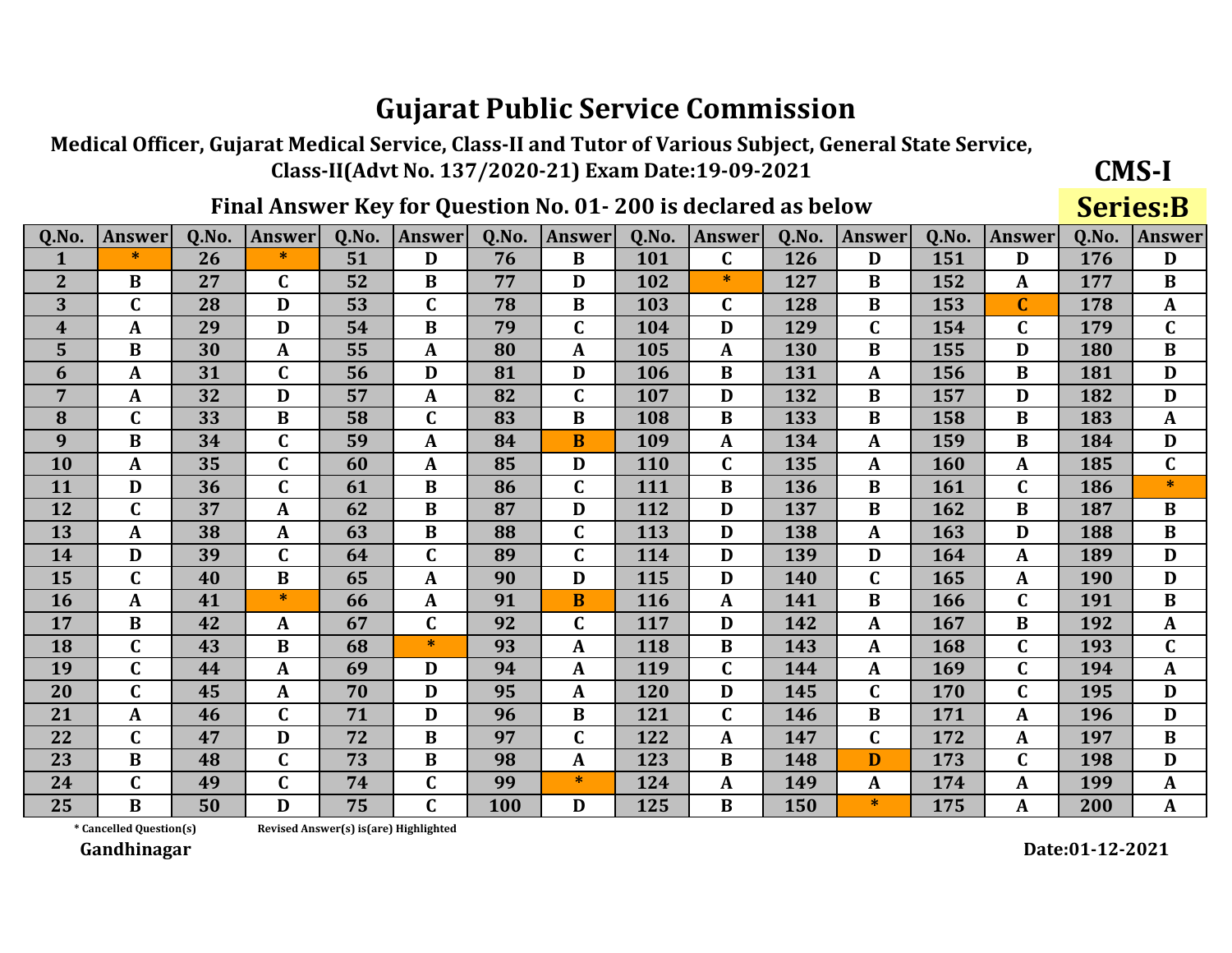Medical Officer, Gujarat Medical Service, Class-II and Tutor of Various Subject, General State Service, Class-II(Advt No. 137/2020-21) Exam Date:19-09-2021

### Final Answer Key for Question No. 01-200 is declared as below

**Series:B** 

**CMS-I** 

| Q.No.            | <b>Answer</b>  | Q.No. | <b>Answer</b> | 0.No. | <b>Answer</b> | <b>O.No.</b> | <b>Answer</b> | Q.No. | <b>Answer</b> | 0.No. | <b>Answer</b> | <b>O.No.</b> | <b>Answer</b> | Q.No. | <b>Answer</b> |
|------------------|----------------|-------|---------------|-------|---------------|--------------|---------------|-------|---------------|-------|---------------|--------------|---------------|-------|---------------|
| 1                | $\ast$         | 26    | ∗             | 51    | D             | 76           | $\bf{B}$      | 101   | $\mathbf C$   | 126   | D             | 151          | D             | 176   | D             |
| $\overline{2}$   | B              | 27    | $\mathbf C$   | 52    | B             | 77           | D             | 102   | $\ast$        | 127   | B             | 152          | A             | 177   | $\bf{B}$      |
| 3                | $\mathbf C$    | 28    | D             | 53    | C             | 78           | $\bf{B}$      | 103   | $\mathbf C$   | 128   | $\bf{B}$      | 153          | $\mathbf{C}$  | 178   | $\mathbf{A}$  |
| $\boldsymbol{4}$ | A              | 29    | D             | 54    | $\bf{B}$      | 79           | $\mathbf C$   | 104   | D             | 129   | C             | 154          | $\mathbf C$   | 179   | $\mathbf C$   |
| 5                | $\bf{B}$       | 30    | $\mathbf{A}$  | 55    | $\mathbf{A}$  | 80           | A             | 105   | $\mathbf{A}$  | 130   | $\bf{B}$      | 155          | D             | 180   | $\bf{B}$      |
| 6                | A              | 31    | $\mathbf C$   | 56    | D             | 81           | D             | 106   | $\bf{B}$      | 131   | $\mathbf{A}$  | 156          | $\bf{B}$      | 181   | D             |
| $\overline{7}$   | A              | 32    | D             | 57    | A             | 82           | $\mathbf{C}$  | 107   | D             | 132   | $\bf{B}$      | 157          | D             | 182   | D             |
| 8                | $\mathbf C$    | 33    | $\bf{B}$      | 58    | $\mathbf C$   | 83           | $\bf{B}$      | 108   | B             | 133   | $\bf{B}$      | 158          | B             | 183   | $\mathbf{A}$  |
| 9                | $\bf{B}$       | 34    | $\mathbf C$   | 59    | $\mathbf{A}$  | 84           | B             | 109   | A             | 134   | $\mathbf{A}$  | 159          | $\bf{B}$      | 184   | D             |
| <b>10</b>        | A              | 35    | $\mathbf C$   | 60    | $\mathbf{A}$  | 85           | D             | 110   | $\mathbf C$   | 135   | $\mathbf{A}$  | 160          | A             | 185   | $\mathbf C$   |
| 11               | D              | 36    | $\mathbf C$   | 61    | B             | 86           | $\mathbf C$   | 111   | B             | 136   | B             | 161          | $\mathbf C$   | 186   | $\ast$        |
| 12               | $\mathbf C$    | 37    | $\mathbf{A}$  | 62    | $\bf{B}$      | 87           | D             | 112   | D             | 137   | B             | 162          | B             | 187   | $\bf{B}$      |
| 13               | $\mathbf{A}$   | 38    | $\mathbf{A}$  | 63    | $\bf{B}$      | 88           | $\mathbf{C}$  | 113   | D             | 138   | A             | 163          | D             | 188   | $\bf{B}$      |
| 14               | D              | 39    | $\mathbf C$   | 64    | C             | 89           | $\mathbf{C}$  | 114   | D             | 139   | D             | 164          | A             | 189   | D             |
| 15               | $\mathbf C$    | 40    | B             | 65    | $\mathbf{A}$  | 90           | D             | 115   | D             | 140   | C             | 165          | A             | 190   | D             |
| <b>16</b>        | A              | 41    | $\ast$        | 66    | A             | 91           | $\bf{B}$      | 116   | A             | 141   | B             | 166          | $\mathbf C$   | 191   | $\bf{B}$      |
| 17               | $\bf{B}$       | 42    | A             | 67    | $\mathbf C$   | 92           | $\mathbf C$   | 117   | D             | 142   | $\mathbf{A}$  | 167          | B             | 192   | $\mathbf{A}$  |
| <b>18</b>        | $\mathbf C$    | 43    | $\bf{B}$      | 68    | $\ast$        | 93           | A             | 118   | $\bf{B}$      | 143   | A             | 168          | $\mathbf C$   | 193   | $\mathbf C$   |
| 19               | $\overline{C}$ | 44    | $\mathbf{A}$  | 69    | D             | 94           | A             | 119   | $\mathbf C$   | 144   | A             | 169          | $\mathbf C$   | 194   | $\mathbf{A}$  |
| 20               | $\mathbf C$    | 45    | $\mathbf{A}$  | 70    | D             | 95           | A             | 120   | D             | 145   | $\mathbf C$   | 170          | $\mathbf{C}$  | 195   | D             |
| 21               | A              | 46    | $\mathbf C$   | 71    | D             | 96           | $\bf{B}$      | 121   | $\mathbf C$   | 146   | $\bf{B}$      | 171          | $\mathbf{A}$  | 196   | D             |
| 22               | $\mathbf C$    | 47    | D             | 72    | $\bf{B}$      | 97           | $\mathbf C$   | 122   | $\mathbf{A}$  | 147   | C             | 172          | A             | 197   | $\bf{B}$      |
| 23               | $\bf{B}$       | 48    | $\mathbf C$   | 73    | $\bf{B}$      | 98           | A             | 123   | $\bf{B}$      | 148   | D             | 173          | $\mathbf C$   | 198   | D             |
| 24               | $\mathbf C$    | 49    | $\mathbf C$   | 74    | C             | 99           | $*$           | 124   | A             | 149   | $\mathbf{A}$  | 174          | $\mathbf{A}$  | 199   | $\mathbf{A}$  |
| 25               | $\bf{B}$       | 50    | D             | 75    | C             | <b>100</b>   | D             | 125   | B             | 150   | $*$           | 175          | A             | 200   | $\mathbf{A}$  |

\* Cancelled Question(s)

Revised Answer(s) is(are) Highlighted

Gandhinagar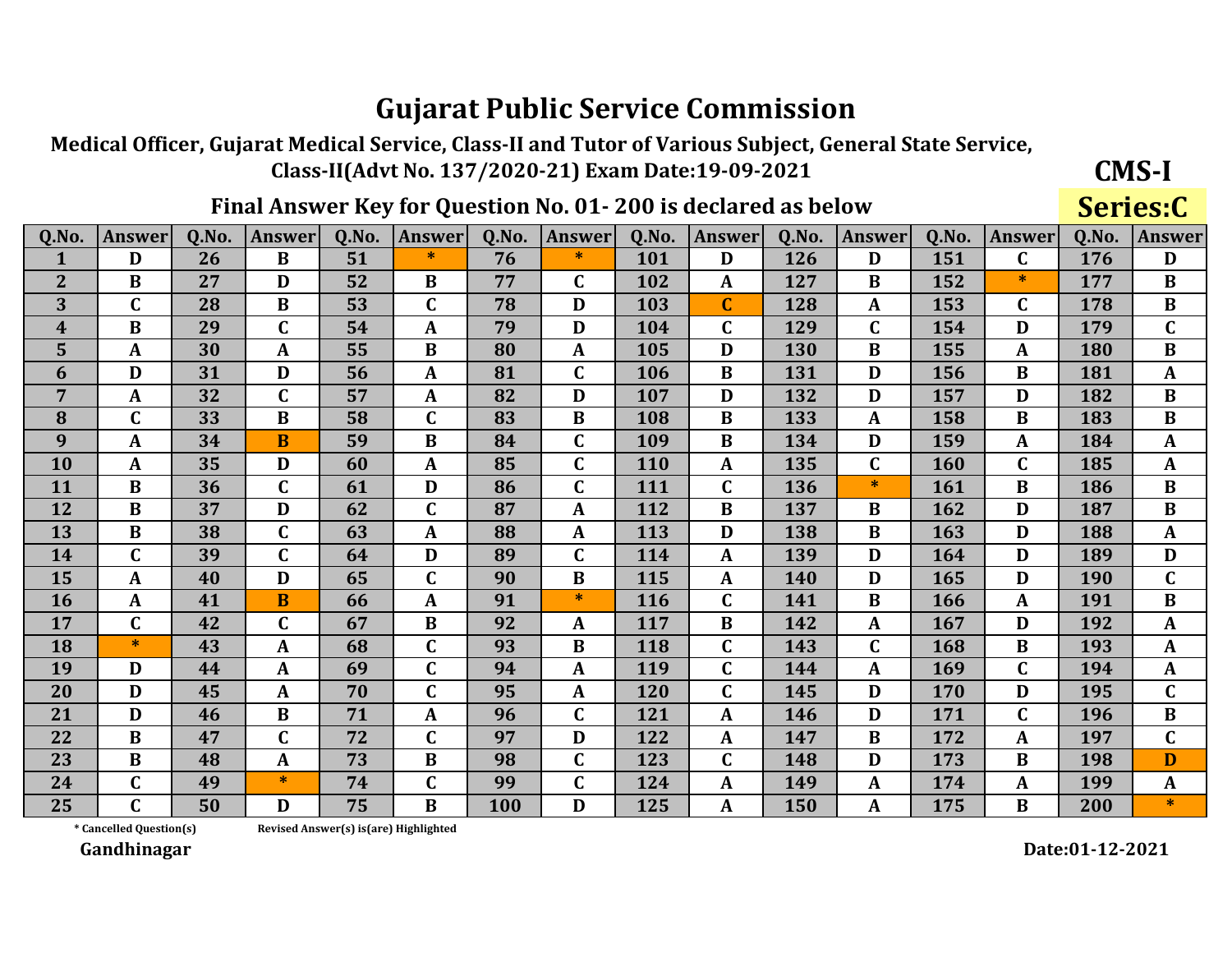Medical Officer, Gujarat Medical Service, Class-II and Tutor of Various Subject, General State Service, Class-II(Advt No. 137/2020-21) Exam Date:19-09-2021

### Final Answer Key for Question No. 01-200 is declared as below

**CMS-I** Series:C

| Q.No.          | <b>Answer</b> | Q.No. | <b>Answer</b> | 0.No. | <b>Answer</b> | 0.No. | <b>Answer</b> | Q.No. | Answer           | Q.No. | <b>Answer</b> | Q.No. | <b>Answer</b> | Q.No. | <b>Answer</b> |
|----------------|---------------|-------|---------------|-------|---------------|-------|---------------|-------|------------------|-------|---------------|-------|---------------|-------|---------------|
| 1              | D             | 26    | $\bf{B}$      | 51    | $\ast$        | 76    | $\ast$        | 101   | D                | 126   | D             | 151   | $\mathbf C$   | 176   | D             |
| $\overline{2}$ | $\bf{B}$      | 27    | D             | 52    | B             | 77    | $\mathbf C$   | 102   | A                | 127   | B             | 152   | $\ast$        | 177   | $\bf{B}$      |
| 3              | C             | 28    | B             | 53    | $\mathbf C$   | 78    | D             | 103   | $\mathbf C$      | 128   | A             | 153   | $\mathbf C$   | 178   | $\bf{B}$      |
| 4              | $\bf{B}$      | 29    | $\mathbf C$   | 54    | A             | 79    | D             | 104   | $\mathbf C$      | 129   | C             | 154   | D             | 179   | $\mathbf C$   |
| 5              | $\mathbf{A}$  | 30    | A             | 55    | B             | 80    | A             | 105   | D                | 130   | B             | 155   | A             | 180   | $\bf{B}$      |
| 6              | D             | 31    | D             | 56    | A             | 81    | $\mathbf C$   | 106   | $\bf{B}$         | 131   | D             | 156   | B             | 181   | $\mathbf{A}$  |
| 7              | $\mathbf{A}$  | 32    | $\mathbf C$   | 57    | $\mathbf{A}$  | 82    | D             | 107   | D                | 132   | D             | 157   | D             | 182   | $\bf{B}$      |
| 8              | C             | 33    | $\bf{B}$      | 58    | $\mathbf C$   | 83    | $\bf{B}$      | 108   | $\bf{B}$         | 133   | A             | 158   | B             | 183   | $\bf{B}$      |
| 9              | $\mathbf{A}$  | 34    | B             | 59    | B             | 84    | $\mathbf C$   | 109   | B                | 134   | D             | 159   | A             | 184   | A             |
| 10             | $\mathbf{A}$  | 35    | D             | 60    | $\mathbf{A}$  | 85    | $\mathbf C$   | 110   | A                | 135   | $\mathbf C$   | 160   | $\mathbf C$   | 185   | $\mathbf{A}$  |
| 11             | $\bf{B}$      | 36    | $\mathbf C$   | 61    | D             | 86    | $\mathbf C$   | 111   | $\mathbf C$      | 136   | *             | 161   | B             | 186   | $\bf{B}$      |
| 12             | $\bf{B}$      | 37    | D             | 62    | $\mathbf C$   | 87    | A             | 112   | $\bf{B}$         | 137   | B             | 162   | D             | 187   | $\bf{B}$      |
| 13             | $\bf{B}$      | 38    | $\mathbf C$   | 63    | $\mathbf{A}$  | 88    | A             | 113   | D                | 138   | $\bf{B}$      | 163   | D             | 188   | $\mathbf{A}$  |
| 14             | $\mathbf C$   | 39    | $\mathbf C$   | 64    | D             | 89    | $\mathbf C$   | 114   | A                | 139   | D             | 164   | D             | 189   | D             |
| 15             | $\mathbf{A}$  | 40    | D             | 65    | $\mathbf C$   | 90    | B             | 115   | A                | 140   | D             | 165   | D             | 190   | $\mathbf C$   |
| 16             | $\mathbf{A}$  | 41    | B             | 66    | A             | 91    | $\ast$        | 116   | $\mathbf C$      | 141   | B             | 166   | A             | 191   | $\bf{B}$      |
| 17             | C             | 42    | $\mathbf C$   | 67    | $\bf{B}$      | 92    | A             | 117   | B                | 142   | A             | 167   | D             | 192   | A             |
| 18             | *             | 43    | A             | 68    | $\mathbf C$   | 93    | $\bf{B}$      | 118   | $\mathbf C$      | 143   | $\mathbf C$   | 168   | B             | 193   | $\mathbf{A}$  |
| 19             | D             | 44    | $\mathbf{A}$  | 69    | $\mathbf C$   | 94    | A             | 119   | $\mathbf C$      | 144   | A             | 169   | $\mathbf C$   | 194   | $\mathbf{A}$  |
| 20             | D             | 45    | $\mathbf A$   | 70    | $\mathbf C$   | 95    | A             | 120   | $\mathbf C$      | 145   | D             | 170   | D             | 195   | $\mathbf C$   |
| 21             | D             | 46    | B             | 71    | A             | 96    | $\mathbf C$   | 121   | A                | 146   | D             | 171   | $\mathbf{C}$  | 196   | $\bf{B}$      |
| 22             | B             | 47    | $\mathbf C$   | 72    | $\mathbf C$   | 97    | D             | 122   | A                | 147   | $\bf{B}$      | 172   | A             | 197   | $\mathbf C$   |
| 23             | $\bf{B}$      | 48    | A             | 73    | $\bf{B}$      | 98    | C             | 123   | $\mathbf C$      | 148   | D             | 173   | B             | 198   | D             |
| 24             | C             | 49    | $\ast$        | 74    | $\mathbf C$   | 99    | C             | 124   | A                | 149   | A             | 174   | A             | 199   | $\mathbf{A}$  |
| 25             | C             | 50    | D             | 75    | $\bf{B}$      | 100   | D             | 125   | $\boldsymbol{A}$ | 150   | A             | 175   | B             | 200   | $\ast$        |

\* Cancelled Question(s)

Revised Answer(s) is(are) Highlighted

Gandhinagar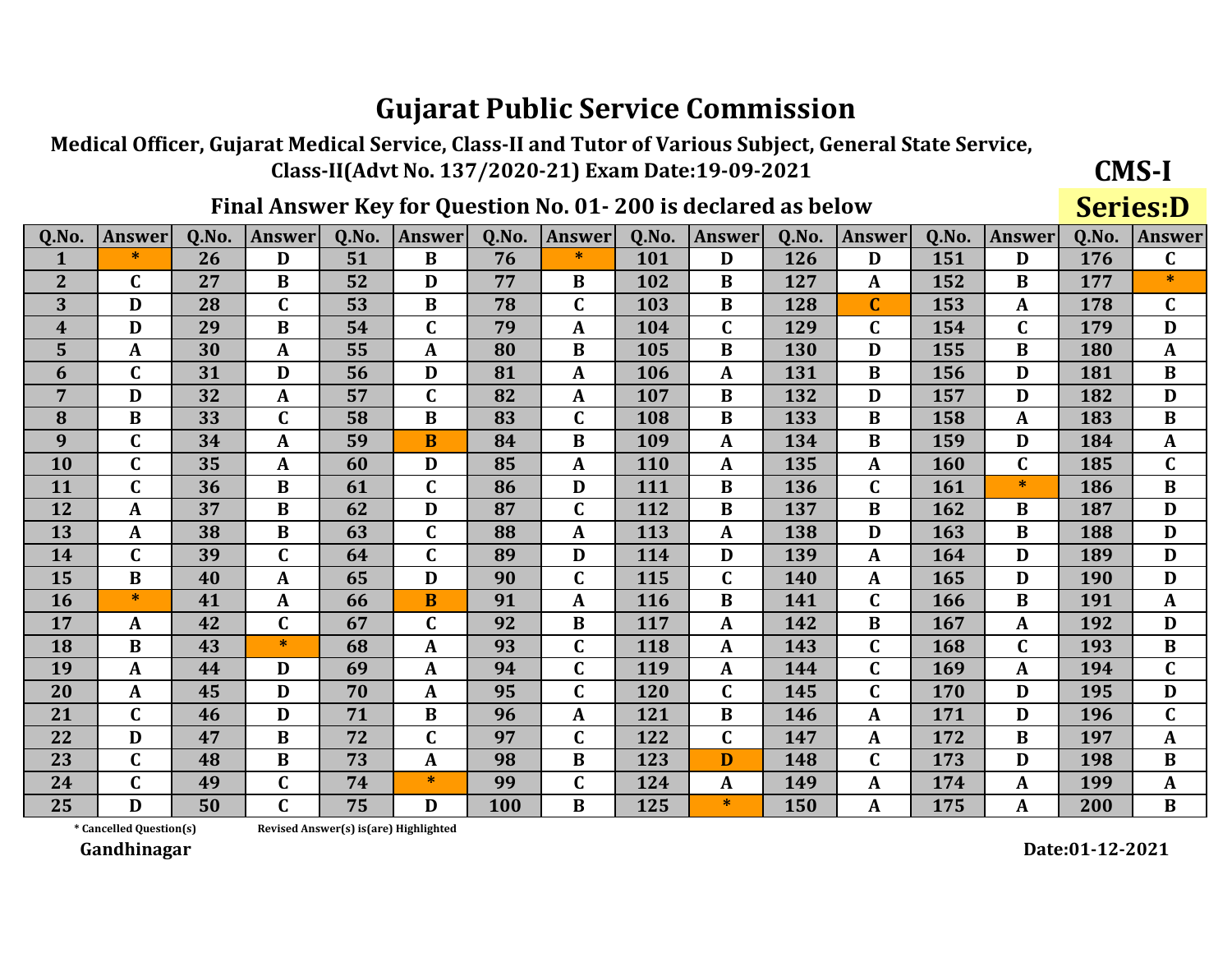Medical Officer, Gujarat Medical Service, Class-II and Tutor of Various Subject, General State Service, Class-II(Advt No. 137/2020-21) Exam Date:19-09-2021

### Final Answer Key for Question No. 01-200 is declared as below

**Series:D** 

**CMS-I** 

| Q.No.          | <b>Answer</b> | 0.No. | <b>Answer</b> | 0.No. | <b>Answer</b> | Q.No. | <b>Answer</b> | Q.No. | <b>Answer</b> | Q.No. | <b>Answer</b> | 0.No.      | <b>Answer</b> | Q.No. | <b>Answer</b> |
|----------------|---------------|-------|---------------|-------|---------------|-------|---------------|-------|---------------|-------|---------------|------------|---------------|-------|---------------|
| $\mathbf{1}$   | $\ast$        | 26    | D             | 51    | $\bf{B}$      | 76    | $\ast$        | 101   | D             | 126   | D             | 151        | D             | 176   | $\mathbf C$   |
| $\overline{2}$ | C             | 27    | B             | 52    | D             | 77    | B             | 102   | B             | 127   | A             | 152        | B             | 177   | $\ast$        |
| 3              | D             | 28    | $\mathbf C$   | 53    | B             | 78    | $\mathbf C$   | 103   | B             | 128   | $\mathbf C$   | 153        | A             | 178   | $\mathbf{C}$  |
| 4              | D             | 29    | B             | 54    | $\mathbf C$   | 79    | A             | 104   | $\mathbf C$   | 129   | $\mathbf C$   | 154        | $\mathbf C$   | 179   | D             |
| 5              | A             | 30    | A             | 55    | A             | 80    | B             | 105   | B             | 130   | D             | 155        | $\bf{B}$      | 180   | $\mathbf{A}$  |
| 6              | $\mathbf C$   | 31    | D             | 56    | D             | 81    | A             | 106   | $\mathbf{A}$  | 131   | B             | 156        | D             | 181   | $\bf{B}$      |
| $\overline{7}$ | D             | 32    | A             | 57    | $\mathbf C$   | 82    | $\mathbf{A}$  | 107   | $\bf{B}$      | 132   | D             | 157        | D             | 182   | D             |
| 8              | $\bf{B}$      | 33    | $\mathbf C$   | 58    | $\bf{B}$      | 83    | $\mathbf C$   | 108   | $\bf{B}$      | 133   | B             | 158        | A             | 183   | $\bf{B}$      |
| 9              | $\mathbf C$   | 34    | A             | 59    | <b>B</b>      | 84    | B             | 109   | $\mathbf{A}$  | 134   | B             | 159        | D             | 184   | A             |
| 10             | C             | 35    | A             | 60    | D             | 85    | A             | 110   | $\mathbf{A}$  | 135   | $\mathbf{A}$  | <b>160</b> | $\mathbf C$   | 185   | $\mathbf C$   |
| 11             | $\mathbf C$   | 36    | $\bf{B}$      | 61    | $\mathbf C$   | 86    | D             | 111   | $\bf{B}$      | 136   | $\mathbf C$   | 161        | $\ast$        | 186   | $\bf{B}$      |
| 12             | A             | 37    | $\bf{B}$      | 62    | D             | 87    | $\mathbf C$   | 112   | $\bf{B}$      | 137   | B             | 162        | B             | 187   | D             |
| 13             | $\mathbf{A}$  | 38    | $\bf{B}$      | 63    | $\mathbf C$   | 88    | A             | 113   | $\mathbf{A}$  | 138   | D             | 163        | $\bf{B}$      | 188   | D             |
| 14             | $\mathbf{C}$  | 39    | $\mathbf C$   | 64    | $\mathbf C$   | 89    | D             | 114   | D             | 139   | A             | 164        | D             | 189   | D             |
| 15             | B             | 40    | A             | 65    | D             | 90    | $\mathbf C$   | 115   | $\mathbf C$   | 140   | A             | 165        | D             | 190   | D             |
| 16             | $\ast$        | 41    | A             | 66    | $\bf{B}$      | 91    | A             | 116   | B             | 141   | C             | 166        | B             | 191   | A             |
| 17             | A             | 42    | $\mathbf C$   | 67    | $\mathbf C$   | 92    | B             | 117   | A             | 142   | B             | 167        | A             | 192   | D             |
| 18             | $\bf{B}$      | 43    | $\ast$        | 68    | A             | 93    | $\mathbf C$   | 118   | $\mathbf{A}$  | 143   | $\mathbf C$   | 168        | $\mathbf C$   | 193   | $\bf{B}$      |
| 19             | $\mathbf{A}$  | 44    | D             | 69    | A             | 94    | $\mathbf C$   | 119   | $\mathbf{A}$  | 144   | C             | 169        | $\mathbf{A}$  | 194   | $\mathbf C$   |
| 20             | $\mathbf{A}$  | 45    | D             | 70    | $\mathbf{A}$  | 95    | $\mathbf C$   | 120   | $\mathbf C$   | 145   | $\mathbf{C}$  | 170        | D             | 195   | D             |
| 21             | $\mathbf{C}$  | 46    | D             | 71    | B             | 96    | A             | 121   | $\bf{B}$      | 146   | A             | 171        | D             | 196   | $\mathbf{C}$  |
| 22             | D             | 47    | B             | 72    | C             | 97    | $\mathbf C$   | 122   | $\mathbf C$   | 147   | A             | 172        | B             | 197   | $\mathbf{A}$  |
| 23             | $\mathbf C$   | 48    | B             | 73    | $\mathbf{A}$  | 98    | $\bf{B}$      | 123   | D             | 148   | $\mathbf C$   | 173        | D             | 198   | $\bf{B}$      |
| 24             | $\mathbf C$   | 49    | $\mathbf C$   | 74    | $\ast$        | 99    | $\mathbf C$   | 124   | A             | 149   | A             | 174        | $\mathbf{A}$  | 199   | $\mathbf{A}$  |
| 25             | D             | 50    | $\mathbf C$   | 75    | D             | 100   | B             | 125   | $\ast$        | 150   | A             | 175        | A             | 200   | $\bf{B}$      |

\* Cancelled Question(s)

Revised Answer(s) is(are) Highlighted

Gandhinagar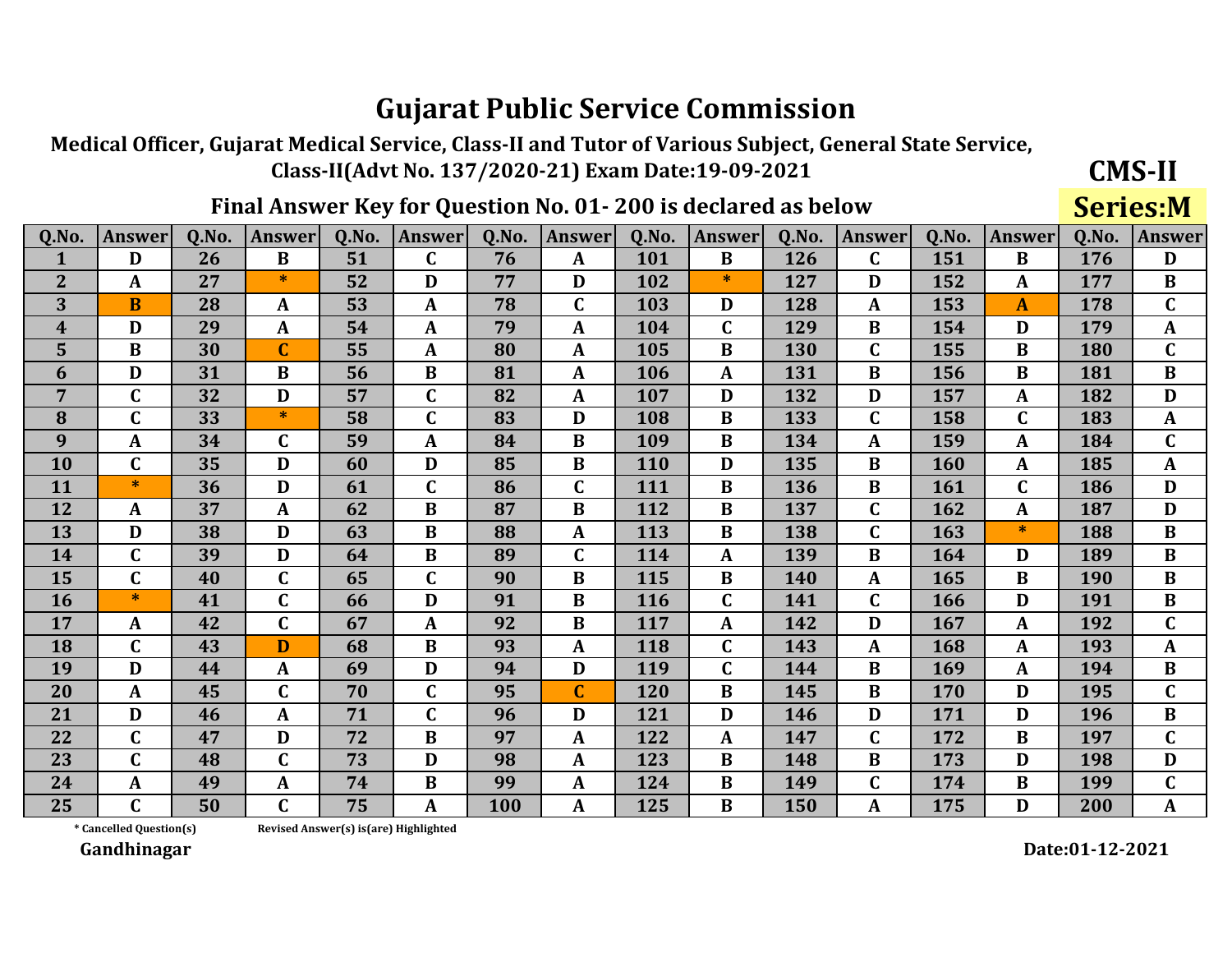Medical Officer, Gujarat Medical Service, Class-II and Tutor of Various Subject, General State Service, Class-II(Advt No. 137/2020-21) Exam Date:19-09-2021

### Final Answer Key for Question No. 01-200 is declared as below

**Series:M** 

**CMS-II** 

| Q.No.          | <b>Answer</b> | 0.No. | <b>Answer</b> | 0.No. | <b>Answer</b> | 0.No. | <b>Answer</b> | Q.No.      | <b>Answer</b> | 0.No. | <b>Answer</b> | 0.No.      | <b>Answer</b> | Q.No. | <b>Answer</b>  |
|----------------|---------------|-------|---------------|-------|---------------|-------|---------------|------------|---------------|-------|---------------|------------|---------------|-------|----------------|
| 1              | D             | 26    | $\bf{B}$      | 51    | C             | 76    | A             | 101        | B             | 126   | $\mathbf C$   | 151        | B             | 176   | D              |
| $\overline{2}$ | A             | 27    | $\ast$        | 52    | D             | 77    | D             | 102        | ∗             | 127   | D             | 152        | A             | 177   | B              |
| 3              | <sub>B</sub>  | 28    | $\mathbf{A}$  | 53    | $\mathbf{A}$  | 78    | $\mathbf C$   | 103        | D             | 128   | A             | 153        | $\mathbf{A}$  | 178   | $\mathbf C$    |
| 4              | D             | 29    | A             | 54    | $\mathbf{A}$  | 79    | A             | 104        | $\mathbf C$   | 129   | B             | 154        | D             | 179   | $\mathbf{A}$   |
| 5              | $\bf{B}$      | 30    | $\mathbf C$   | 55    | $\mathbf{A}$  | 80    | A             | 105        | $\bf{B}$      | 130   | $\mathbf C$   | 155        | $\bf{B}$      | 180   | $\mathbf C$    |
| 6              | D             | 31    | $\bf{B}$      | 56    | $\bf{B}$      | 81    | A             | 106        | $\mathbf{A}$  | 131   | $\bf{B}$      | 156        | $\bf{B}$      | 181   | $\bf{B}$       |
| $\overline{7}$ | $\mathbf C$   | 32    | D             | 57    | $\mathbf C$   | 82    | A             | 107        | D             | 132   | D             | 157        | $\mathbf{A}$  | 182   | D              |
| 8              | $\mathbf C$   | 33    | $\ast$        | 58    | $\mathbf C$   | 83    | D             | 108        | B             | 133   | $\mathbf C$   | 158        | $\mathsf{C}$  | 183   | $\mathbf{A}$   |
| 9              | $\mathbf{A}$  | 34    | C             | 59    | $\mathbf{A}$  | 84    | B             | 109        | B             | 134   | A             | 159        | $\mathbf{A}$  | 184   | $\mathbf C$    |
| 10             | $\mathbf C$   | 35    | D             | 60    | D             | 85    | $\bf{B}$      | 110        | D             | 135   | $\bf{B}$      | <b>160</b> | A             | 185   | $\mathbf{A}$   |
| 11             | $*$           | 36    | D             | 61    | $\mathbf C$   | 86    | $\mathbf C$   | 111        | $\bf{B}$      | 136   | B             | 161        | $\mathbf C$   | 186   | D              |
| 12             | $\mathbf{A}$  | 37    | $\mathbf{A}$  | 62    | $\bf{B}$      | 87    | $\bf{B}$      | 112        | $\bf{B}$      | 137   | $\mathbf C$   | 162        | $\mathbf{A}$  | 187   | D              |
| 13             | D             | 38    | D             | 63    | $\bf{B}$      | 88    | $\mathbf{A}$  | 113        | $\bf{B}$      | 138   | $\mathbf{C}$  | 163        | $\ast$        | 188   | $\bf{B}$       |
| 14             | $\mathbf C$   | 39    | D             | 64    | B             | 89    | $\mathbf C$   | 114        | A             | 139   | B             | 164        | D             | 189   | B              |
| 15             | $\mathbf C$   | 40    | $\mathbf C$   | 65    | $\mathbf C$   | 90    | $\bf{B}$      | 115        | $\bf{B}$      | 140   | A             | 165        | $\bf{B}$      | 190   | $\bf{B}$       |
| <b>16</b>      | $*$           | 41    | $\mathbf C$   | 66    | D             | 91    | $\bf{B}$      | <b>116</b> | $\mathbf C$   | 141   | $\mathbf C$   | 166        | D             | 191   | $\, {\bf B}$   |
| 17             | A             | 42    | $\mathbf C$   | 67    | $\mathbf{A}$  | 92    | $\bf{B}$      | 117        | $\mathbf{A}$  | 142   | D             | 167        | $\mathbf{A}$  | 192   | $\overline{C}$ |
| 18             | $\mathbf C$   | 43    | D             | 68    | $\bf{B}$      | 93    | A             | 118        | $\mathbf C$   | 143   | A             | 168        | A             | 193   | $\mathbf{A}$   |
| 19             | D             | 44    | $\mathbf{A}$  | 69    | D             | 94    | D             | 119        | $\mathbf C$   | 144   | $\bf{B}$      | 169        | $\mathbf{A}$  | 194   | $\bf{B}$       |
| 20             | A             | 45    | $\mathbf C$   | 70    | $\mathbf C$   | 95    | $\mathbf{C}$  | 120        | $\bf{B}$      | 145   | $\bf{B}$      | 170        | D             | 195   | $\mathbf C$    |
| 21             | D             | 46    | A             | 71    | $\mathbf C$   | 96    | D             | 121        | D             | 146   | D             | 171        | D             | 196   | $\bf{B}$       |
| 22             | C             | 47    | D             | 72    | $\bf{B}$      | 97    | A             | 122        | $\mathbf{A}$  | 147   | $\mathbf C$   | 172        | B             | 197   | $\mathbf C$    |
| 23             | $\mathbf C$   | 48    | $\mathbf C$   | 73    | D             | 98    | A             | 123        | $\bf{B}$      | 148   | B             | 173        | D             | 198   | D              |
| 24             | A             | 49    | A             | 74    | $\bf{B}$      | 99    | A             | 124        | B             | 149   | $\mathbf C$   | 174        | B             | 199   | $\mathbf C$    |
| 25             | $\mathbf C$   | 50    | $\mathbf C$   | 75    | $\mathbf{A}$  | 100   | A             | 125        | B             | 150   | A             | 175        | D             | 200   | ${\bf A}$      |

\* Cancelled Question(s)

Revised Answer(s) is(are) Highlighted

Gandhinagar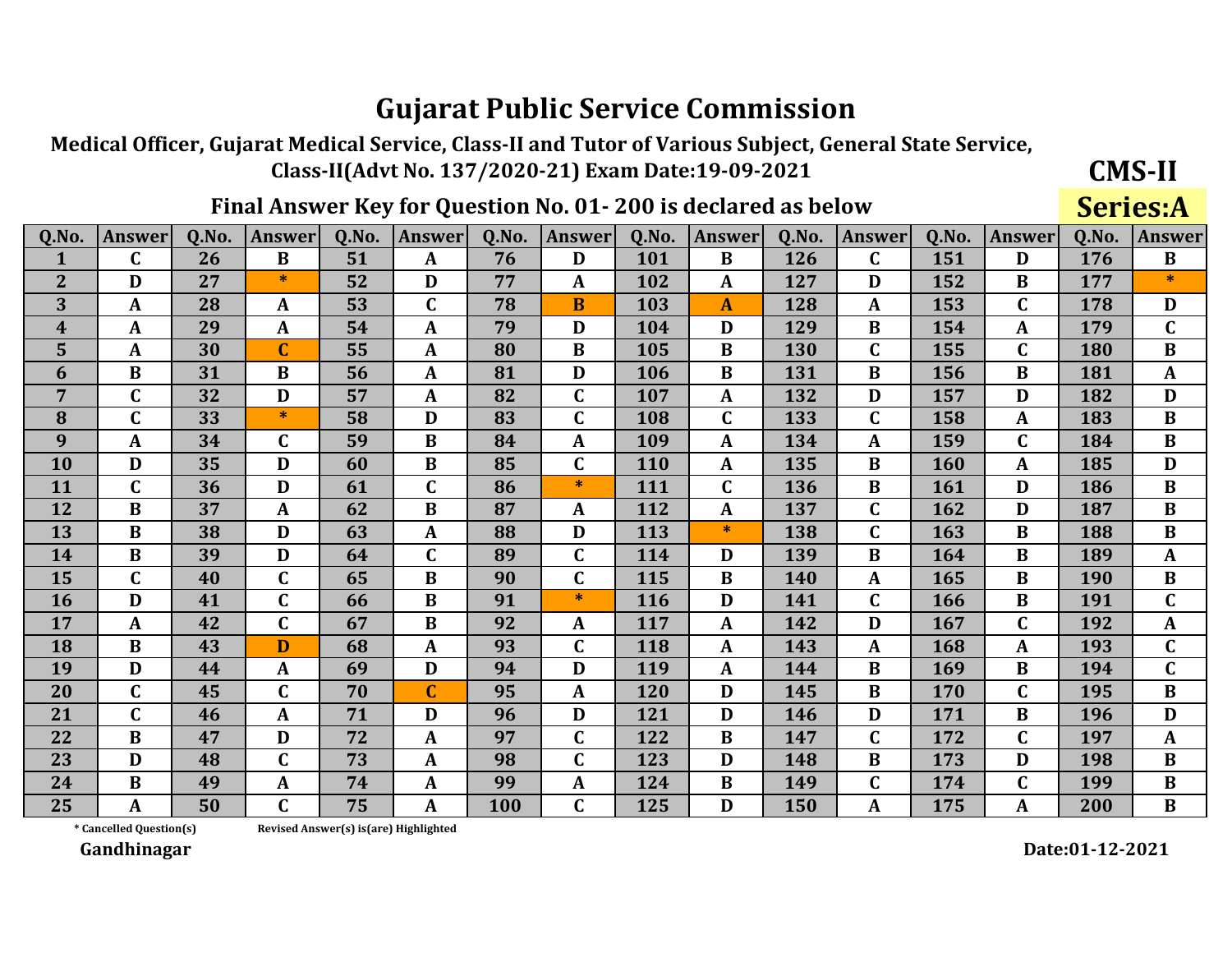Medical Officer, Gujarat Medical Service, Class-II and Tutor of Various Subject, General State Service, Class-II(Advt No. 137/2020-21) Exam Date:19-09-2021

### Final Answer Key for Question No. 01-200 is declared as below

**Series:A** 

**CMS-II** 

| Q.No.            | <b>Answer</b> | Q.No. | <b>Answer</b>  | 0.No. | Answer       | Q.No. | <b>Answer</b> | Q.No. | <b>Answer</b> | Q.No. | Answer      | Q.No. | <b>Answer</b> | Q.No.      | <b>Answer</b> |
|------------------|---------------|-------|----------------|-------|--------------|-------|---------------|-------|---------------|-------|-------------|-------|---------------|------------|---------------|
| $\mathbf{1}$     | $\mathbf C$   | 26    | $\bf{B}$       | 51    | A            | 76    | D             | 101   | $\bf{B}$      | 126   | $\mathbf C$ | 151   | D             | 176        | $\bf{B}$      |
| $\mathbf{2}$     | D             | 27    | ∗              | 52    | D            | 77    | $\mathbf{A}$  | 102   | $\mathbf{A}$  | 127   | D           | 152   | B             | 177        | $\ast$        |
| 3                | A             | 28    | A              | 53    | $\mathbf{C}$ | 78    | B             | 103   | A             | 128   | A           | 153   | $\mathbf{C}$  | 178        | D             |
| $\boldsymbol{4}$ | A             | 29    | $\mathbf{A}$   | 54    | A            | 79    | D             | 104   | D             | 129   | B           | 154   | A             | 179        | $\mathbf C$   |
| 5                | A             | 30    | $\overline{C}$ | 55    | A            | 80    | B             | 105   | B             | 130   | C           | 155   | $\mathbf C$   | 180        | $\bf{B}$      |
| 6                | $\bf{B}$      | 31    | B              | 56    | A            | 81    | D             | 106   | $\bf{B}$      | 131   | B           | 156   | B             | 181        | $\mathbf{A}$  |
| 7                | $\mathbf C$   | 32    | D              | 57    | A            | 82    | $\mathbf C$   | 107   | $\mathbf{A}$  | 132   | D           | 157   | D             | 182        | D             |
| 8                | $\mathbf C$   | 33    | $\ast$         | 58    | D            | 83    | $\mathbf C$   | 108   | $\mathbf C$   | 133   | $\mathbf C$ | 158   | $\mathbf{A}$  | 183        | $\bf{B}$      |
| 9                | A             | 34    | $\mathbf C$    | 59    | B            | 84    | A             | 109   | A             | 134   | A           | 159   | $\mathsf{C}$  | 184        | $\bf{B}$      |
| 10               | D             | 35    | D              | 60    | B            | 85    | $\mathbf C$   | 110   | $\mathbf{A}$  | 135   | B           | 160   | A             | 185        | D             |
| 11               | C             | 36    | D              | 61    | $\mathbf C$  | 86    | $*$           | 111   | $\mathbf C$   | 136   | B           | 161   | D             | 186        | $\bf{B}$      |
| 12               | $\bf{B}$      | 37    | $\mathbf{A}$   | 62    | $\bf{B}$     | 87    | A             | 112   | $\mathbf{A}$  | 137   | $\mathbf C$ | 162   | D             | 187        | $\bf{B}$      |
| 13               | $\bf{B}$      | 38    | D              | 63    | $\mathbf{A}$ | 88    | D             | 113   | $\ast$        | 138   | $\mathbf C$ | 163   | B             | 188        | $\bf{B}$      |
| 14               | $\bf{B}$      | 39    | D              | 64    | $\mathbf C$  | 89    | $\mathbf{C}$  | 114   | D             | 139   | $\bf{B}$    | 164   | B             | 189        | $\mathbf{A}$  |
| 15               | $\mathbf C$   | 40    | $\mathbf C$    | 65    | $\bf{B}$     | 90    | $\mathbf C$   | 115   | $\bf{B}$      | 140   | A           | 165   | B             | <b>190</b> | $\bf{B}$      |
| <b>16</b>        | D             | 41    | $\mathbf C$    | 66    | B            | 91    | $\ast$        | 116   | D             | 141   | $\mathbf C$ | 166   | B             | 191        | $\mathbf C$   |
| 17               | $\mathbf{A}$  | 42    | $\mathbf C$    | 67    | $\bf{B}$     | 92    | A             | 117   | $\mathbf{A}$  | 142   | D           | 167   | C             | 192        | $\mathbf{A}$  |
| 18               | $\bf{B}$      | 43    | D              | 68    | A            | 93    | C             | 118   | A             | 143   | A           | 168   | A             | 193        | $\mathbf C$   |
| 19               | D             | 44    | $\mathbf{A}$   | 69    | D            | 94    | D             | 119   | $\mathbf{A}$  | 144   | B           | 169   | $\bf{B}$      | 194        | $\mathbf C$   |
| 20               | $\mathbf C$   | 45    | $\mathbf C$    | 70    | $\mathbf C$  | 95    | $\mathbf{A}$  | 120   | D             | 145   | $\bf{B}$    | 170   | $\mathbf C$   | 195        | $\bf{B}$      |
| 21               | $\mathbf C$   | 46    | $\mathbf{A}$   | 71    | D            | 96    | D             | 121   | D             | 146   | D           | 171   | B             | 196        | D             |
| 22               | $\bf{B}$      | 47    | D              | 72    | A            | 97    | $\mathbf C$   | 122   | $\bf{B}$      | 147   | $\mathbf C$ | 172   | $\mathsf{C}$  | 197        | $\mathbf{A}$  |
| 23               | D             | 48    | $\mathbf C$    | 73    | A            | 98    | C             | 123   | D             | 148   | B           | 173   | D             | 198        | B             |
| 24               | B             | 49    | $\mathbf{A}$   | 74    | A            | 99    | A             | 124   | B             | 149   | C           | 174   | C             | 199        | $\bf{B}$      |
| 25               | A             | 50    | $\mathbf C$    | 75    | A            | 100   | C             | 125   | D             | 150   | A           | 175   | A             | 200        | $\bf{B}$      |

\* Cancelled Question(s)

Revised Answer(s) is(are) Highlighted

Gandhinagar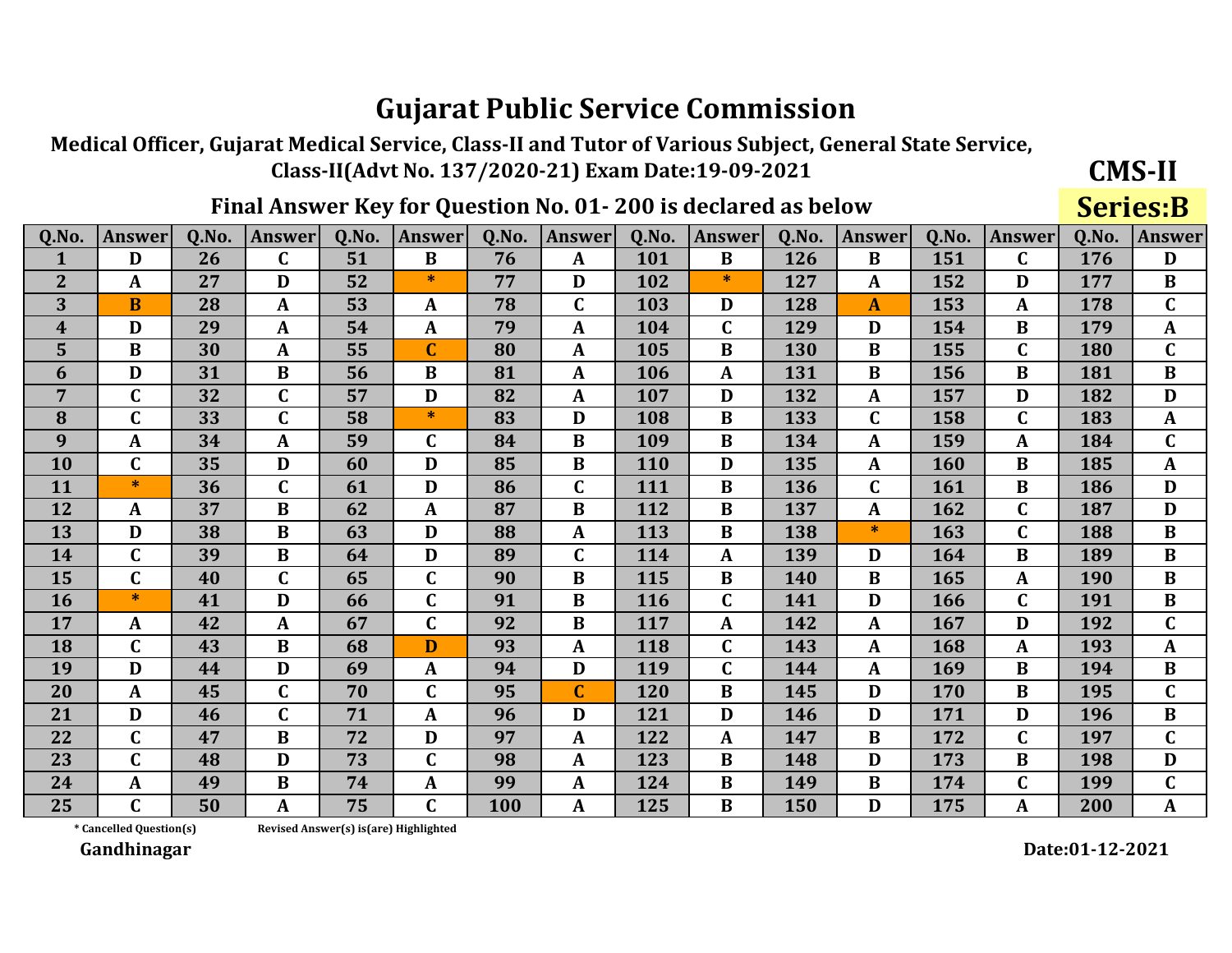Medical Officer, Gujarat Medical Service, Class-II and Tutor of Various Subject, General State Service, Class-II(Advt No. 137/2020-21) Exam Date:19-09-2021

Final Answer Key for Question No. 01-200 is declared as below

**Series:B** 

**CMS-II** 

| Q.No.            | <b>Answer</b> | 0.No. | <b>Answer</b> | 0.No. | <b>Answer</b> | 0.No. | <b>Answer</b> | 0.No. | <b>Answer</b> | 0.No. | Answer       | 0.No. | <b>Answer</b> | Q.No. | <b>Answer</b> |
|------------------|---------------|-------|---------------|-------|---------------|-------|---------------|-------|---------------|-------|--------------|-------|---------------|-------|---------------|
| 1                | D             | 26    | $\mathbf C$   | 51    | $\bf{B}$      | 76    | $\mathbf{A}$  | 101   | $\bf{B}$      | 126   | $\bf{B}$     | 151   | $\mathbf C$   | 176   | D             |
| $\overline{2}$   | A             | 27    | D             | 52    | $\ast$        | 77    | D             | 102   | $\ast$        | 127   | A            | 152   | D             | 177   | $\bf{B}$      |
| 3                | $\bf{B}$      | 28    | $\mathbf{A}$  | 53    | A             | 78    | C             | 103   | D             | 128   | A            | 153   | A             | 178   | $\mathbf C$   |
| $\boldsymbol{4}$ | D             | 29    | A             | 54    | A             | 79    | A             | 104   | $\mathbf C$   | 129   | D            | 154   | B             | 179   | $\mathbf{A}$  |
| 5                | $\bf{B}$      | 30    | $\mathbf{A}$  | 55    | $\mathbf C$   | 80    | $\mathbf{A}$  | 105   | $\bf{B}$      | 130   | B            | 155   | $\mathbf C$   | 180   | $\mathbf C$   |
| 6                | D             | 31    | $\bf{B}$      | 56    | B             | 81    | A             | 106   | A             | 131   | B            | 156   | $\bf{B}$      | 181   | $\bf{B}$      |
| 7                | $\mathbf C$   | 32    | $\mathbf C$   | 57    | D             | 82    | $\mathbf{A}$  | 107   | D             | 132   | A            | 157   | D             | 182   | D             |
| 8                | $\mathbf C$   | 33    | $\mathbf C$   | 58    | $\ast$        | 83    | D             | 108   | $\bf{B}$      | 133   | $\mathbf C$  | 158   | $\mathbf C$   | 183   | $\mathbf{A}$  |
| 9                | A             | 34    | A             | 59    | $\mathbf C$   | 84    | B             | 109   | B             | 134   | A            | 159   | A             | 184   | $\mathbf C$   |
| 10               | $\mathbf C$   | 35    | D             | 60    | D             | 85    | $\bf{B}$      | 110   | D             | 135   | $\mathbf{A}$ | 160   | B             | 185   | $\mathbf{A}$  |
| 11               | *             | 36    | $\mathbf C$   | 61    | D             | 86    | C             | 111   | B             | 136   | C            | 161   | B             | 186   | D             |
| 12               | A             | 37    | $\bf{B}$      | 62    | $\mathbf{A}$  | 87    | $\bf{B}$      | 112   | B             | 137   | A            | 162   | $\mathbf C$   | 187   | D             |
| 13               | D             | 38    | $\bf{B}$      | 63    | D             | 88    | $\mathbf A$   | 113   | $\bf{B}$      | 138   | $\ast$       | 163   | $\mathbf C$   | 188   | $\bf{B}$      |
| 14               | $\mathbf C$   | 39    | $\bf{B}$      | 64    | D             | 89    | $\mathbf{C}$  | 114   | A             | 139   | D            | 164   | $\bf{B}$      | 189   | $\bf{B}$      |
| 15               | C             | 40    | C             | 65    | $\mathbf C$   | 90    | B             | 115   | B             | 140   | B            | 165   | A             | 190   | $\bf{B}$      |
| <b>16</b>        | $\ast$        | 41    | D             | 66    | $\mathbf C$   | 91    | $\bf{B}$      | 116   | $\mathbf C$   | 141   | D            | 166   | $\mathbf C$   | 191   | $\bf{B}$      |
| 17               | A             | 42    | $\mathbf A$   | 67    | $\mathbf C$   | 92    | B             | 117   | A             | 142   | A            | 167   | D             | 192   | $\mathbf C$   |
| 18               | $\mathbf C$   | 43    | $\bf{B}$      | 68    | D             | 93    | A             | 118   | $\mathbf C$   | 143   | A            | 168   | A             | 193   | $\mathbf{A}$  |
| 19               | D             | 44    | D             | 69    | A             | 94    | D             | 119   | $\mathbf C$   | 144   | A            | 169   | $\bf{B}$      | 194   | $\bf{B}$      |
| 20               | A             | 45    | $\mathbf C$   | 70    | $\mathbf C$   | 95    | $\mathbf{C}$  | 120   | B             | 145   | D            | 170   | $\bf{B}$      | 195   | $\mathbf C$   |
| 21               | D             | 46    | $\mathbf C$   | 71    | A             | 96    | D             | 121   | D             | 146   | D            | 171   | D             | 196   | $\bf{B}$      |
| 22               | $\mathbf{C}$  | 47    | B             | 72    | D             | 97    | A             | 122   | A             | 147   | B            | 172   | $\mathbf C$   | 197   | $\mathbf C$   |
| 23               | $\mathbf C$   | 48    | D             | 73    | $\mathbf C$   | 98    | A             | 123   | B             | 148   | D            | 173   | B             | 198   | D             |
| 24               | A             | 49    | B             | 74    | A             | 99    | $\mathbf A$   | 124   | B             | 149   | B            | 174   | $\mathbf C$   | 199   | $\mathbf C$   |
| 25               | $\mathbf C$   | 50    | $\mathbf A$   | 75    | $\mathbf C$   | 100   | A             | 125   | B             | 150   | D            | 175   | A             | 200   | A             |

\* Cancelled Question(s)

Revised Answer(s) is(are) Highlighted

Gandhinagar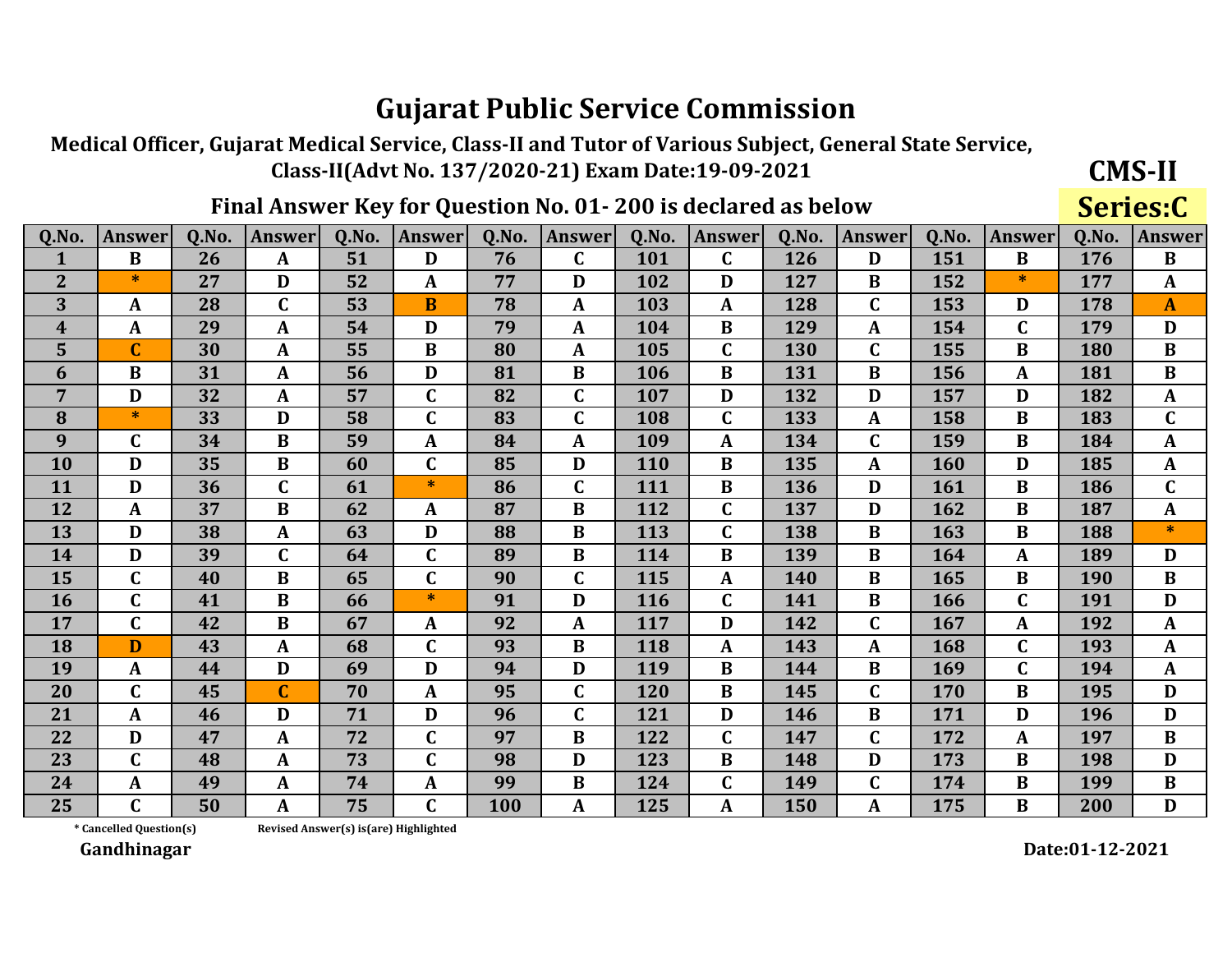Medical Officer, Gujarat Medical Service, Class-II and Tutor of Various Subject, General State Service, Class-II(Advt No. 137/2020-21) Exam Date:19-09-2021

### Final Answer Key for Question No. 01-200 is declared as below

**CMS-II** Series:C

| Q.No.            | Answer                  | Q.No. | <b>Answer</b>    | 0.No. | Answer       | 0.No. | <b>Answer</b>  | Q.No. | <b>Answer</b> | 0.No. | Answer      | 0.No. | <b>Answer</b> | 0.No.      | <b>Answer</b> |
|------------------|-------------------------|-------|------------------|-------|--------------|-------|----------------|-------|---------------|-------|-------------|-------|---------------|------------|---------------|
| $\mathbf{1}$     | $\bf{B}$                | 26    | $\mathbf{A}$     | 51    | D            | 76    | C              | 101   | $\mathbf C$   | 126   | D           | 151   | $\bf{B}$      | 176        | $\bf{B}$      |
| $\overline{2}$   | $\ast$                  | 27    | D                | 52    | A            | 77    | D              | 102   | D             | 127   | B           | 152   | $\ast$        | 177        | $\mathbf{A}$  |
| 3                | A                       | 28    | $\mathbf C$      | 53    | B            | 78    | A              | 103   | A             | 128   | $\mathbf C$ | 153   | D             | 178        | $\mathbf{A}$  |
| $\boldsymbol{4}$ | A                       | 29    | $\mathbf{A}$     | 54    | D            | 79    | $\mathbf A$    | 104   | B             | 129   | A           | 154   | C             | 179        | D             |
| 5                | $\overline{C}$          | 30    | A                | 55    | $\bf{B}$     | 80    | $\mathbf{A}$   | 105   | $\mathbf C$   | 130   | $\mathbf C$ | 155   | B             | 180        | $\bf{B}$      |
| 6                | B                       | 31    | A                | 56    | D            | 81    | $\bf{B}$       | 106   | $\bf{B}$      | 131   | B           | 156   | A             | 181        | $\bf{B}$      |
| 7                | D                       | 32    | $\mathbf{A}$     | 57    | $\mathbf C$  | 82    | $\overline{C}$ | 107   | D             | 132   | D           | 157   | D             | 182        | $\mathbf{A}$  |
| 8                | $\ast$                  | 33    | D                | 58    | $\mathbf C$  | 83    | C              | 108   | $\mathbf C$   | 133   | A           | 158   | B             | 183        | $\mathbf C$   |
| 9                | C                       | 34    | B                | 59    | A            | 84    | A              | 109   | A             | 134   | $\mathbf C$ | 159   | B             | 184        | A             |
| 10               | D                       | 35    | B                | 60    | $\mathbf C$  | 85    | D              | 110   | B             | 135   | A           | 160   | D             | 185        | $\mathbf A$   |
| 11               | D                       | 36    | $\mathbf C$      | 61    | $\ast$       | 86    | C              | 111   | B             | 136   | D           | 161   | B             | 186        | $\mathbf C$   |
| 12               | A                       | 37    | $\bf{B}$         | 62    | A            | 87    | $\bf{B}$       | 112   | $\mathbf C$   | 137   | D           | 162   | B             | 187        | $\mathbf{A}$  |
| 13               | D                       | 38    | $\mathbf{A}$     | 63    | D            | 88    | $\bf{B}$       | 113   | $\mathbf C$   | 138   | $\bf{B}$    | 163   | $\bf{B}$      | 188        | $\ast$        |
| 14               | D                       | 39    | $\mathbf C$      | 64    | $\mathbf C$  | 89    | $\bf{B}$       | 114   | B             | 139   | B           | 164   | A             | 189        | D             |
| 15               | $\mathbf C$             | 40    | B                | 65    | $\mathbf C$  | 90    | C              | 115   | A             | 140   | B           | 165   | B             | <b>190</b> | B             |
| 16               | $\mathbf{C}$            | 41    | $\bf{B}$         | 66    | $\ast$       | 91    | D              | 116   | $\mathbf C$   | 141   | $\bf{B}$    | 166   | C             | 191        | D             |
| 17               | $\mathbf C$             | 42    | $\bf{B}$         | 67    | A            | 92    | A              | 117   | D             | 142   | $\mathbf C$ | 167   | A             | 192        | $\mathbf{A}$  |
| 18               | D                       | 43    | A                | 68    | $\mathbf C$  | 93    | $\bf{B}$       | 118   | A             | 143   | A           | 168   | C             | 193        | $\mathbf{A}$  |
| 19               | A                       | 44    | D                | 69    | D            | 94    | D              | 119   | B             | 144   | $\bf{B}$    | 169   | $\mathbf{C}$  | 194        | $\mathbf{A}$  |
| 20               | $\mathbf C$             | 45    | $\mathbf C$      | 70    | $\mathbf{A}$ | 95    | C              | 120   | $\bf{B}$      | 145   | $\mathbf C$ | 170   | $\bf{B}$      | 195        | D             |
| 21               | A                       | 46    | D                | 71    | D            | 96    | C              | 121   | D             | 146   | B           | 171   | D             | 196        | D             |
| 22               | D                       | 47    | $\mathbf{A}$     | 72    | $\mathbf C$  | 97    | $\bf{B}$       | 122   | $\mathbf C$   | 147   | $\mathbf C$ | 172   | A             | 197        | $\bf{B}$      |
| 23               | $\mathbf C$             | 48    | $\boldsymbol{A}$ | 73    | $\mathbf C$  | 98    | D              | 123   | B             | 148   | D           | 173   | B             | 198        | D             |
| 24               | A                       | 49    | A                | 74    | A            | 99    | $\bf{B}$       | 124   | $\mathbf C$   | 149   | $\mathbf C$ | 174   | B             | 199        | $\bf{B}$      |
| 25               | $\overline{\mathsf{C}}$ | 50    | A                | 75    | $\mathbf C$  | 100   | A              | 125   | $\mathbf{A}$  | 150   | A           | 175   | $\bf{B}$      | 200        | D             |

\* Cancelled Question(s)

Revised Answer(s) is(are) Highlighted

Gandhinagar